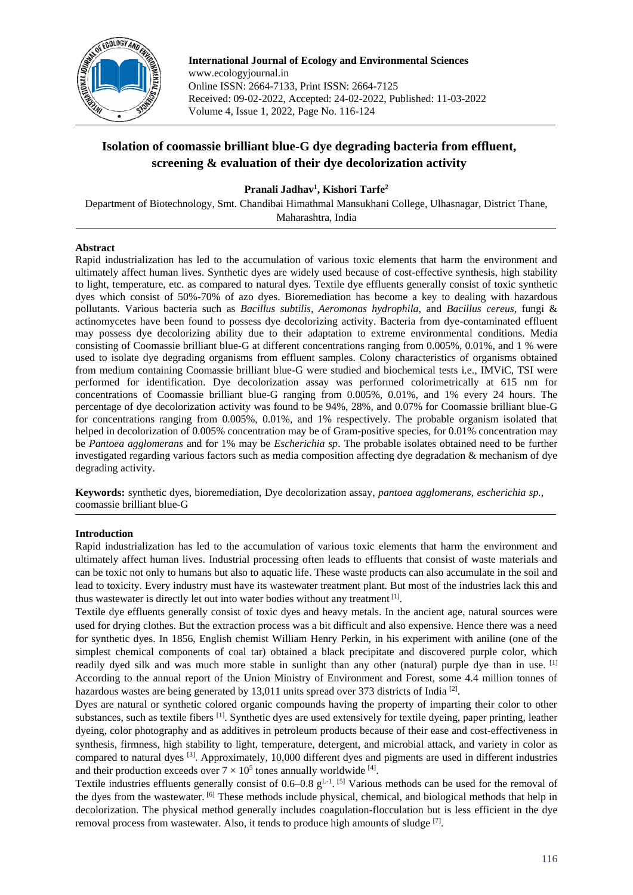

**International Journal of Ecology and Environmental Sciences** www.ecologyjournal.in Online ISSN: 2664-7133, Print ISSN: 2664-7125 Received: 09-02-2022, Accepted: 24-02-2022, Published: 11-03-2022 Volume 4, Issue 1, 2022, Page No. 116-124

# **Isolation of coomassie brilliant blue-G dye degrading bacteria from effluent, screening & evaluation of their dye decolorization activity**

**Pranali Jadhav<sup>1</sup> , Kishori Tarfe<sup>2</sup>**

Department of Biotechnology, Smt. Chandibai Himathmal Mansukhani College, Ulhasnagar, District Thane, Maharashtra, India

# **Abstract**

Rapid industrialization has led to the accumulation of various toxic elements that harm the environment and ultimately affect human lives. Synthetic dyes are widely used because of cost-effective synthesis, high stability to light, temperature, etc. as compared to natural dyes. Textile dye effluents generally consist of toxic synthetic dyes which consist of 50%-70% of azo dyes. Bioremediation has become a key to dealing with hazardous pollutants. Various bacteria such as *Bacillus subtilis, Aeromonas hydrophila,* and *Bacillus cereus,* fungi & actinomycetes have been found to possess dye decolorizing activity. Bacteria from dye-contaminated effluent may possess dye decolorizing ability due to their adaptation to extreme environmental conditions. Media consisting of Coomassie brilliant blue-G at different concentrations ranging from 0.005%, 0.01%, and 1 % were used to isolate dye degrading organisms from effluent samples. Colony characteristics of organisms obtained from medium containing Coomassie brilliant blue-G were studied and biochemical tests i.e., IMViC, TSI were performed for identification. Dye decolorization assay was performed colorimetrically at 615 nm for concentrations of Coomassie brilliant blue-G ranging from 0.005%, 0.01%, and 1% every 24 hours. The percentage of dye decolorization activity was found to be 94%, 28%, and 0.07% for Coomassie brilliant blue-G for concentrations ranging from 0.005%, 0.01%, and 1% respectively. The probable organism isolated that helped in decolorization of 0.005% concentration may be of Gram-positive species, for 0.01% concentration may be *Pantoea agglomerans* and for 1% may be *Escherichia sp*. The probable isolates obtained need to be further investigated regarding various factors such as media composition affecting dye degradation & mechanism of dye degrading activity.

**Keywords:** synthetic dyes, bioremediation, Dye decolorization assay, *pantoea agglomerans*, *escherichia sp.*, coomassie brilliant blue-G

## **Introduction**

Rapid industrialization has led to the accumulation of various toxic elements that harm the environment and ultimately affect human lives. Industrial processing often leads to effluents that consist of waste materials and can be toxic not only to humans but also to aquatic life. These waste products can also accumulate in the soil and lead to toxicity. Every industry must have its wastewater treatment plant. But most of the industries lack this and thus wastewater is directly let out into water bodies without any treatment [1].

Textile dye effluents generally consist of toxic dyes and heavy metals. In the ancient age, natural sources were used for drying clothes. But the extraction process was a bit difficult and also expensive. Hence there was a need for synthetic dyes. In 1856, English chemist William Henry Perkin, in his experiment with aniline (one of the simplest chemical components of coal tar) obtained a black precipitate and discovered purple color, which readily dyed silk and was much more stable in sunlight than any other (natural) purple dye than in use. [1] According to the annual report of the Union Ministry of Environment and Forest, some 4.4 million tonnes of hazardous wastes are being generated by 13,011 units spread over 373 districts of India<sup>[2]</sup>.

Dyes are natural or synthetic colored organic compounds having the property of imparting their color to other substances, such as textile fibers <sup>[1]</sup>. Synthetic dyes are used extensively for textile dyeing, paper printing, leather dyeing, color photography and as additives in petroleum products because of their ease and cost-effectiveness in synthesis, firmness, high stability to light, temperature, detergent, and microbial attack, and variety in color as compared to natural dyes [3]. Approximately, 10,000 different dyes and pigments are used in different industries and their production exceeds over  $7 \times 10^5$  tones annually worldwide [4].

Textile industries effluents generally consist of  $0.6-0.8 \text{ g}^{L-1}$ . <sup>[5]</sup> Various methods can be used for the removal of the dyes from the wastewater. [6] These methods include physical, chemical, and biological methods that help in decolorization. The physical method generally includes coagulation-flocculation but is less efficient in the dye removal process from wastewater. Also, it tends to produce high amounts of sludge [7].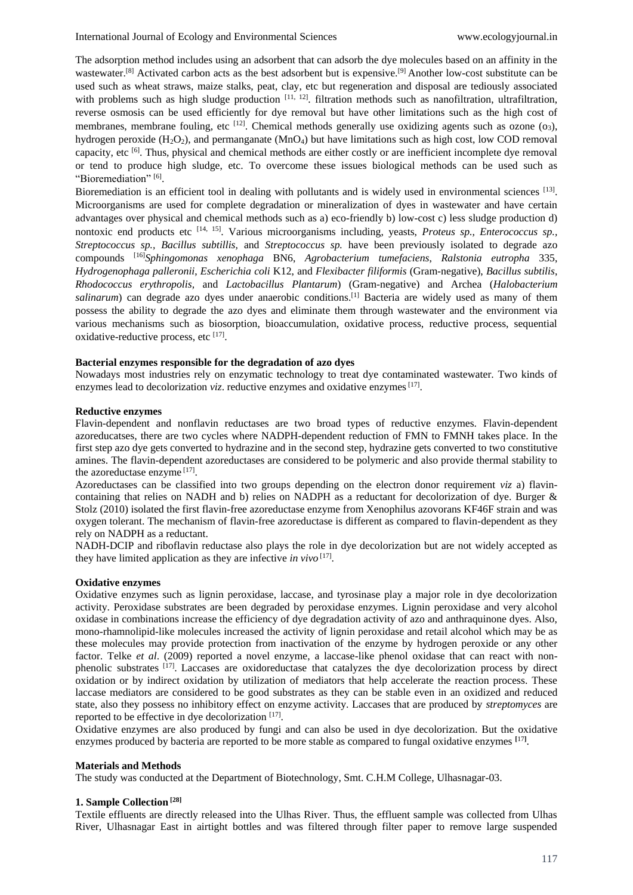The adsorption method includes using an adsorbent that can adsorb the dye molecules based on an affinity in the wastewater.<sup>[8]</sup> Activated carbon acts as the best adsorbent but is expensive.<sup>[9]</sup> Another low-cost substitute can be used such as wheat straws, maize stalks, peat, clay, etc but regeneration and disposal are tediously associated with problems such as high sludge production  $[11, 12]$ . filtration methods such as nanofiltration, ultrafiltration, reverse osmosis can be used efficiently for dye removal but have other limitations such as the high cost of membranes, membrane fouling, etc <sup>[12]</sup>. Chemical methods generally use oxidizing agents such as ozone (03), hydrogen peroxide  $(H_2O_2)$ , and permanganate  $(MnO_4)$  but have limitations such as high cost, low COD removal capacity, etc <sup>[6]</sup>. Thus, physical and chemical methods are either costly or are inefficient incomplete dye removal or tend to produce high sludge, etc. To overcome these issues biological methods can be used such as "Bioremediation"<sup>[6]</sup>.

Bioremediation is an efficient tool in dealing with pollutants and is widely used in environmental sciences  $^{[13]}$ . Microorganisms are used for complete degradation or mineralization of dyes in wastewater and have certain advantages over physical and chemical methods such as a) eco-friendly b) low-cost c) less sludge production d) nontoxic end products etc <sup>[14, 15]</sup>. Various microorganisms including, yeasts, *Proteus sp., Enterococcus sp.*, *Streptococcus sp., Bacillus subtillis,* and *Streptococcus sp.* have been previously isolated to degrade azo compounds [16]*Sphingomonas xenophaga* BN6, *Agrobacterium tumefaciens*, *Ralstonia eutropha* 335, *Hydrogenophaga palleronii*, *Escherichia coli* K12, and *Flexibacter filiformis* (Gram-negative), *Bacillus subtilis*, *Rhodococcus erythropolis,* and *Lactobacillus Plantarum*) (Gram-negative) and Archea (*Halobacterium salinarum*) can degrade azo dyes under anaerobic conditions.<sup>[1]</sup> Bacteria are widely used as many of them possess the ability to degrade the azo dyes and eliminate them through wastewater and the environment via various mechanisms such as biosorption, bioaccumulation, oxidative process, reductive process, sequential oxidative-reductive process, etc [17].

#### **Bacterial enzymes responsible for the degradation of azo dyes**

Nowadays most industries rely on enzymatic technology to treat dye contaminated wastewater. Two kinds of enzymes lead to decolorization *viz*. reductive enzymes and oxidative enzymes<sup>[17]</sup>.

## **Reductive enzymes**

Flavin-dependent and nonflavin reductases are two broad types of reductive enzymes. Flavin-dependent azoreducatses, there are two cycles where NADPH-dependent reduction of FMN to FMNH takes place. In the first step azo dye gets converted to hydrazine and in the second step, hydrazine gets converted to two constitutive amines. The flavin-dependent azoreductases are considered to be polymeric and also provide thermal stability to the azoreductase enzyme<sup>[17]</sup>.

Azoreductases can be classified into two groups depending on the electron donor requirement *viz* a) flavincontaining that relies on NADH and b) relies on NADPH as a reductant for decolorization of dye. Burger & Stolz (2010) isolated the first flavin-free azoreductase enzyme from Xenophilus azovorans KF46F strain and was oxygen tolerant. The mechanism of flavin-free azoreductase is different as compared to flavin-dependent as they rely on NADPH as a reductant.

NADH-DCIP and riboflavin reductase also plays the role in dye decolorization but are not widely accepted as they have limited application as they are infective *in vivo* [17] .

#### **Oxidative enzymes**

Oxidative enzymes such as lignin peroxidase, laccase, and tyrosinase play a major role in dye decolorization activity. Peroxidase substrates are been degraded by peroxidase enzymes. Lignin peroxidase and very alcohol oxidase in combinations increase the efficiency of dye degradation activity of azo and anthraquinone dyes. Also, mono-rhamnolipid-like molecules increased the activity of lignin peroxidase and retail alcohol which may be as these molecules may provide protection from inactivation of the enzyme by hydrogen peroxide or any other factor. Telke *et al.* (2009) reported a novel enzyme, a laccase-like phenol oxidase that can react with nonphenolic substrates <sup>[17]</sup>. Laccases are oxidoreductase that catalyzes the dye decolorization process by direct oxidation or by indirect oxidation by utilization of mediators that help accelerate the reaction process. These laccase mediators are considered to be good substrates as they can be stable even in an oxidized and reduced state, also they possess no inhibitory effect on enzyme activity. Laccases that are produced by *streptomyces* are reported to be effective in dye decolorization [17].

Oxidative enzymes are also produced by fungi and can also be used in dye decolorization. But the oxidative enzymes produced by bacteria are reported to be more stable as compared to fungal oxidative enzymes <sup>[17]</sup>.

#### **Materials and Methods**

The study was conducted at the Department of Biotechnology, Smt. C.H.M College, Ulhasnagar-03.

# **1. Sample Collection [28]**

Textile effluents are directly released into the Ulhas River. Thus, the effluent sample was collected from Ulhas River, Ulhasnagar East in airtight bottles and was filtered through filter paper to remove large suspended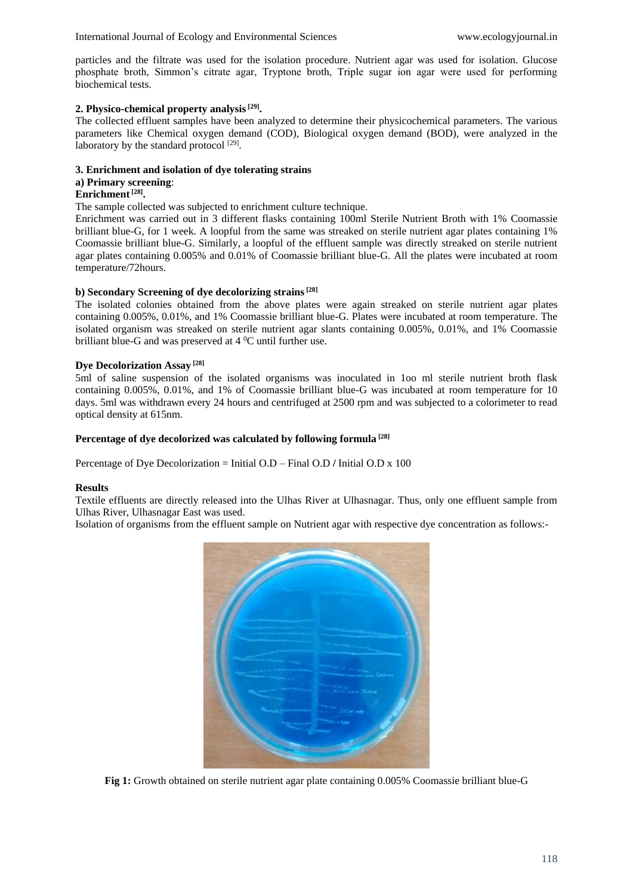particles and the filtrate was used for the isolation procedure. Nutrient agar was used for isolation. Glucose phosphate broth, Simmon's citrate agar, Tryptone broth, Triple sugar ion agar were used for performing biochemical tests.

# **2. Physico-chemical property analysis[29] .**

The collected effluent samples have been analyzed to determine their physicochemical parameters. The various parameters like Chemical oxygen demand (COD), Biological oxygen demand (BOD), were analyzed in the laboratory by the standard protocol<sup>[29]</sup>.

## **3. Enrichment and isolation of dye tolerating strains**

## **a) Primary screening**:

# **Enrichment[28] .**

The sample collected was subjected to enrichment culture technique.

Enrichment was carried out in 3 different flasks containing 100ml Sterile Nutrient Broth with 1% Coomassie brilliant blue-G, for 1 week. A loopful from the same was streaked on sterile nutrient agar plates containing 1% Coomassie brilliant blue-G. Similarly, a loopful of the effluent sample was directly streaked on sterile nutrient agar plates containing 0.005% and 0.01% of Coomassie brilliant blue-G. All the plates were incubated at room temperature/72hours.

# **b) Secondary Screening of dye decolorizing strains[28]**

The isolated colonies obtained from the above plates were again streaked on sterile nutrient agar plates containing 0.005%, 0.01%, and 1% Coomassie brilliant blue-G. Plates were incubated at room temperature. The isolated organism was streaked on sterile nutrient agar slants containing 0.005%, 0.01%, and 1% Coomassie brilliant blue-G and was preserved at 4 <sup>0</sup>C until further use.

# **Dye Decolorization Assay [28]**

5ml of saline suspension of the isolated organisms was inoculated in 1oo ml sterile nutrient broth flask containing 0.005%, 0.01%, and 1% of Coomassie brilliant blue-G was incubated at room temperature for 10 days. 5ml was withdrawn every 24 hours and centrifuged at 2500 rpm and was subjected to a colorimeter to read optical density at 615nm.

# **Percentage of dye decolorized was calculated by following formula [28]**

Percentage of Dye Decolorization = Initial O.D – Final O.D **/** Initial O.D x 100

## **Results**

Textile effluents are directly released into the Ulhas River at Ulhasnagar. Thus, only one effluent sample from Ulhas River, Ulhasnagar East was used.

Isolation of organisms from the effluent sample on Nutrient agar with respective dye concentration as follows:-



**Fig 1:** Growth obtained on sterile nutrient agar plate containing 0.005% Coomassie brilliant blue-G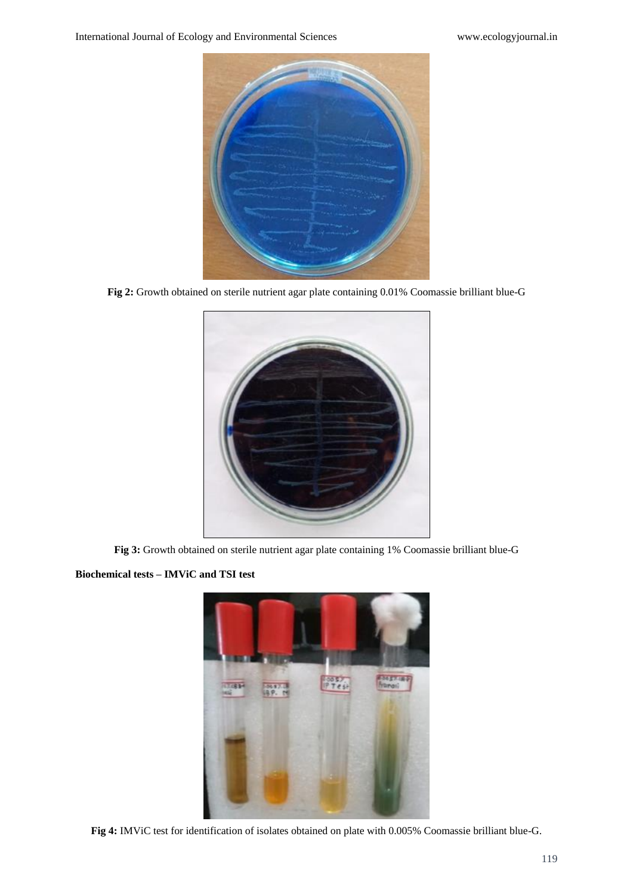

**Fig 2:** Growth obtained on sterile nutrient agar plate containing 0.01% Coomassie brilliant blue-G



**Fig 3:** Growth obtained on sterile nutrient agar plate containing 1% Coomassie brilliant blue-G

**Biochemical tests – IMViC and TSI test**



**Fig 4:** IMViC test for identification of isolates obtained on plate with 0.005% Coomassie brilliant blue-G.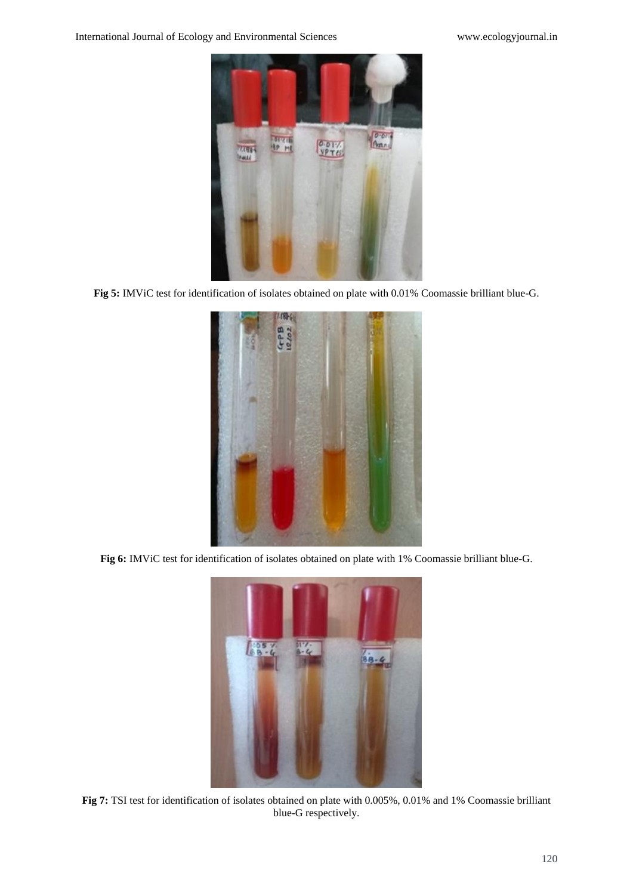

**Fig 5:** IMViC test for identification of isolates obtained on plate with 0.01% Coomassie brilliant blue-G.



**Fig 6:** IMViC test for identification of isolates obtained on plate with 1% Coomassie brilliant blue-G.



**Fig 7:** TSI test for identification of isolates obtained on plate with 0.005%, 0.01% and 1% Coomassie brilliant blue-G respectively.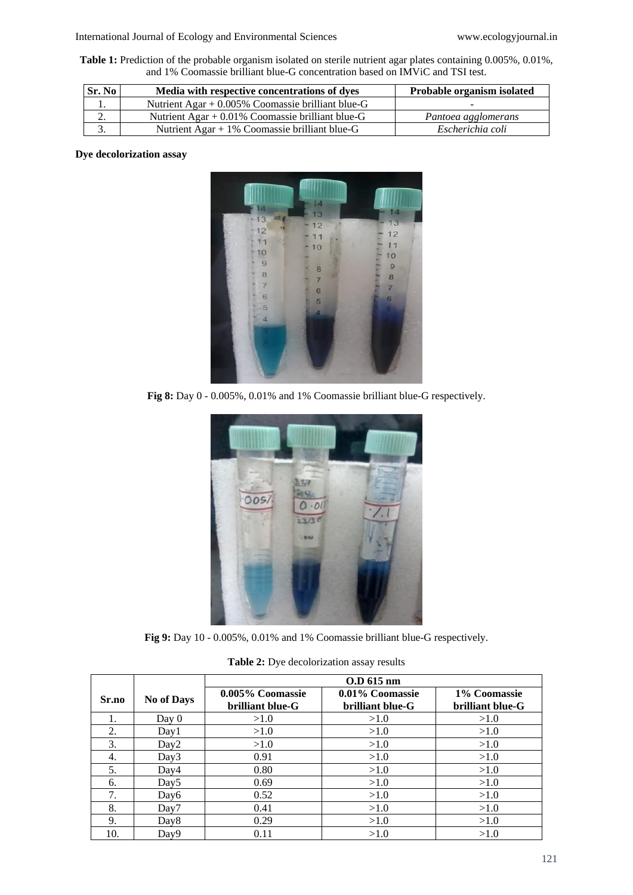**Table 1:** Prediction of the probable organism isolated on sterile nutrient agar plates containing 0.005%, 0.01%, and 1% Coomassie brilliant blue-G concentration based on IMViC and TSI test.

| Sr. No | Media with respective concentrations of dyes        | <b>Probable organism isolated</b> |
|--------|-----------------------------------------------------|-----------------------------------|
|        | Nutrient Agar $+$ 0.005% Coomassie brilliant blue-G |                                   |
| ۷.     | Nutrient Agar $+$ 0.01% Coomassie brilliant blue-G  | Pantoea agglomerans               |
|        | Nutrient Agar + $1\%$ Coomassie brilliant blue-G    | Escherichia coli                  |

# **Dye decolorization assay**



**Fig 8:** Day 0 - 0.005%, 0.01% and 1% Coomassie brilliant blue-G respectively.



**Fig 9:** Day 10 - 0.005%, 0.01% and 1% Coomassie brilliant blue-G respectively.

| Table 2: Dye decolorization assay results |  |  |  |  |  |
|-------------------------------------------|--|--|--|--|--|
|-------------------------------------------|--|--|--|--|--|

|       |                   | O.D 615 nm                           |                                     |                                  |  |  |  |
|-------|-------------------|--------------------------------------|-------------------------------------|----------------------------------|--|--|--|
| Sr.no | <b>No of Days</b> | 0.005% Coomassie<br>brilliant blue-G | 0.01% Coomassie<br>brilliant blue-G | 1% Coomassie<br>brilliant blue-G |  |  |  |
| 1.    | Day 0             | >1.0                                 | >1.0                                | >1.0                             |  |  |  |
| 2.    | Day1              | >1.0                                 | >1.0                                | >1.0                             |  |  |  |
| 3.    | Day2              | >1.0                                 | >1.0                                | >1.0                             |  |  |  |
| 4.    | Day3              | 0.91                                 | >1.0                                | >1.0                             |  |  |  |
| 5.    | Day4              | 0.80                                 | >1.0                                | >1.0                             |  |  |  |
| 6.    | Day <sub>5</sub>  | 0.69                                 | >1.0                                | >1.0                             |  |  |  |
| 7.    | Day6              | 0.52                                 | >1.0                                | >1.0                             |  |  |  |
| 8.    | Day7              | 0.41                                 | >1.0                                | >1.0                             |  |  |  |
| 9.    | Day8              | 0.29                                 | >1.0                                | >1.0                             |  |  |  |
| 10.   | Day9              | 0.11                                 | >1.0                                | >1.0                             |  |  |  |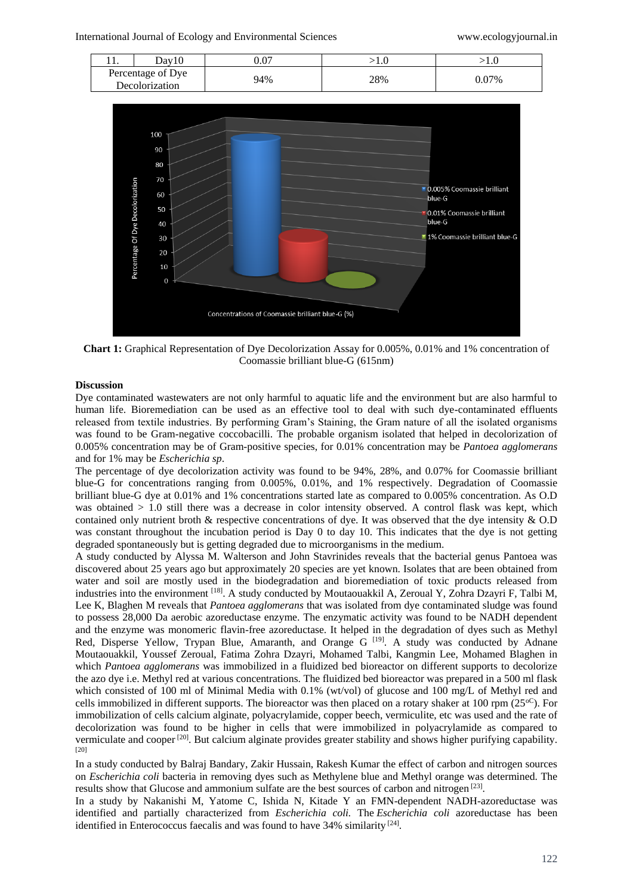

**Chart 1:** Graphical Representation of Dye Decolorization Assay for 0.005%, 0.01% and 1% concentration of Coomassie brilliant blue-G (615nm)

## **Discussion**

Dye contaminated wastewaters are not only harmful to aquatic life and the environment but are also harmful to human life. Bioremediation can be used as an effective tool to deal with such dye-contaminated effluents released from textile industries. By performing Gram's Staining, the Gram nature of all the isolated organisms was found to be Gram-negative coccobacilli. The probable organism isolated that helped in decolorization of 0.005% concentration may be of Gram-positive species, for 0.01% concentration may be *Pantoea agglomerans*  and for 1% may be *Escherichia sp*.

The percentage of dye decolorization activity was found to be 94%, 28%, and 0.07% for Coomassie brilliant blue-G for concentrations ranging from 0.005%, 0.01%, and 1% respectively. Degradation of Coomassie brilliant blue-G dye at 0.01% and 1% concentrations started late as compared to 0.005% concentration. As O.D was obtained  $> 1.0$  still there was a decrease in color intensity observed. A control flask was kept, which contained only nutrient broth & respective concentrations of dye. It was observed that the dye intensity & O.D was constant throughout the incubation period is Day 0 to day 10. This indicates that the dye is not getting degraded spontaneously but is getting degraded due to microorganisms in the medium.

A study conducted by Alyssa M. Walterson and John Stavrinides reveals that the bacterial genus Pantoea was discovered about 25 years ago but approximately 20 species are yet known. Isolates that are been obtained from water and soil are mostly used in the biodegradation and bioremediation of toxic products released from industries into the environment <sup>[18]</sup>. A study conducted by Moutaouakkil A, Zeroual Y, Zohra Dzayri F, Talbi M, Lee K, Blaghen M reveals that *Pantoea agglomerans* that was isolated from dye contaminated sludge was found to possess 28,000 Da aerobic azoreductase enzyme. The enzymatic activity was found to be NADH dependent and the enzyme was monomeric flavin-free azoreductase. It helped in the degradation of dyes such as Methyl Red, Disperse Yellow, Trypan Blue, Amaranth, and Orange G<sup>[19]</sup>. A study was conducted by Adnane Moutaouakkil, Youssef Zeroual, Fatima Zohra Dzayri, Mohamed Talbi, Kangmin Lee, Mohamed Blaghen in which *Pantoea agglomerans* was immobilized in a fluidized bed bioreactor on different supports to decolorize the azo dye i.e. Methyl red at various concentrations. The fluidized bed bioreactor was prepared in a 500 ml flask which consisted of 100 ml of Minimal Media with 0.1% (wt/vol) of glucose and 100 mg/L of Methyl red and cells immobilized in different supports. The bioreactor was then placed on a rotary shaker at 100 rpm  $(25^{\circ}\text{C})$ . For immobilization of cells calcium alginate, polyacrylamide, copper beech, vermiculite, etc was used and the rate of decolorization was found to be higher in cells that were immobilized in polyacrylamide as compared to vermiculate and cooper <sup>[20]</sup>. But calcium alginate provides greater stability and shows higher purifying capability. [20]

In a study conducted by Balraj Bandary, Zakir Hussain, Rakesh Kumar the effect of carbon and nitrogen sources on *Escherichia coli* bacteria in removing dyes such as Methylene blue and Methyl orange was determined. The results show that Glucose and ammonium sulfate are the best sources of carbon and nitrogen [23].

In a study by Nakanishi M, Yatome C, Ishida N, Kitade Y an FMN-dependent NADH-azoreductase was identified and partially characterized from *Escherichia coli.* The *Escherichia coli* azoreductase has been identified in Enterococcus faecalis and was found to have 34% similarity [24].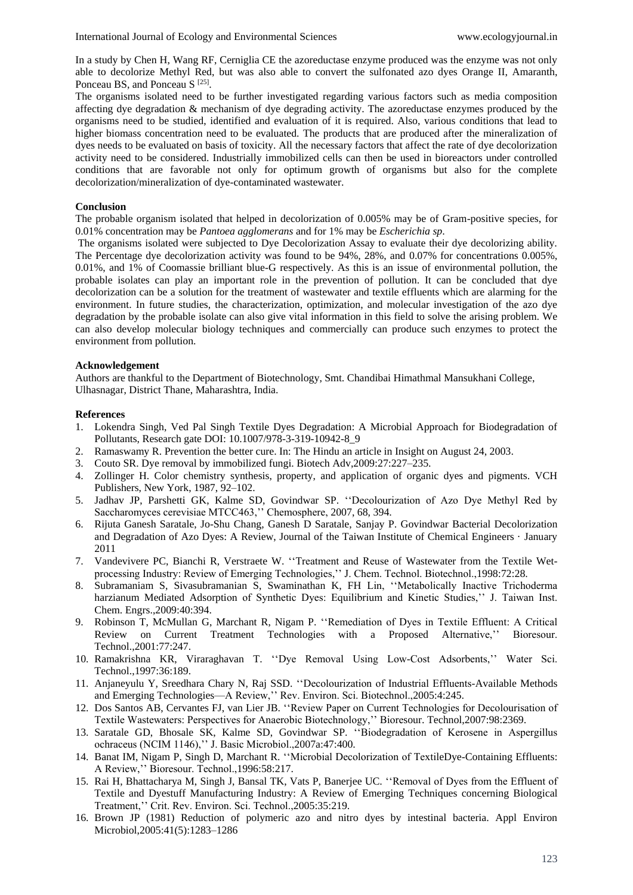In a study by Chen H, Wang RF, Cerniglia CE the azoreductase enzyme produced was the enzyme was not only able to decolorize Methyl Red, but was also able to convert the sulfonated azo dyes Orange II, Amaranth, Ponceau BS, and Ponceau S<sup>[25]</sup>.

The organisms isolated need to be further investigated regarding various factors such as media composition affecting dye degradation & mechanism of dye degrading activity. The azoreductase enzymes produced by the organisms need to be studied, identified and evaluation of it is required. Also, various conditions that lead to higher biomass concentration need to be evaluated. The products that are produced after the mineralization of dyes needs to be evaluated on basis of toxicity. All the necessary factors that affect the rate of dye decolorization activity need to be considered. Industrially immobilized cells can then be used in bioreactors under controlled conditions that are favorable not only for optimum growth of organisms but also for the complete decolorization/mineralization of dye-contaminated wastewater.

#### **Conclusion**

The probable organism isolated that helped in decolorization of 0.005% may be of Gram-positive species, for 0.01% concentration may be *Pantoea agglomerans* and for 1% may be *Escherichia sp*.

The organisms isolated were subjected to Dye Decolorization Assay to evaluate their dye decolorizing ability. The Percentage dye decolorization activity was found to be 94%, 28%, and 0.07% for concentrations 0.005%, 0.01%, and 1% of Coomassie brilliant blue-G respectively. As this is an issue of environmental pollution, the probable isolates can play an important role in the prevention of pollution. It can be concluded that dye decolorization can be a solution for the treatment of wastewater and textile effluents which are alarming for the environment. In future studies, the characterization, optimization, and molecular investigation of the azo dye degradation by the probable isolate can also give vital information in this field to solve the arising problem. We can also develop molecular biology techniques and commercially can produce such enzymes to protect the environment from pollution.

#### **Acknowledgement**

Authors are thankful to the Department of Biotechnology, Smt. Chandibai Himathmal Mansukhani College, Ulhasnagar, District Thane, Maharashtra, India.

#### **References**

- 1. Lokendra Singh, Ved Pal Singh Textile Dyes Degradation: A Microbial Approach for Biodegradation of Pollutants, Research gate DOI: 10.1007/978-3-319-10942-8\_9
- 2. Ramaswamy R. Prevention the better cure. In: The Hindu an article in Insight on August 24, 2003.
- 3. Couto SR. Dye removal by immobilized fungi. Biotech Adv,2009:27:227–235.
- 4. Zollinger H. Color chemistry synthesis, property, and application of organic dyes and pigments. VCH Publishers, New York, 1987, 92–102.
- 5. Jadhav JP, Parshetti GK, Kalme SD, Govindwar SP. ''Decolourization of Azo Dye Methyl Red by Saccharomyces cerevisiae MTCC463,'' Chemosphere, 2007, 68, 394.
- 6. Rijuta Ganesh Saratale, Jo-Shu Chang, Ganesh D Saratale, Sanjay P. Govindwar Bacterial Decolorization and Degradation of Azo Dyes: A Review, Journal of the Taiwan Institute of Chemical Engineers · January 2011
- 7. Vandevivere PC, Bianchi R, Verstraete W. ''Treatment and Reuse of Wastewater from the Textile Wetprocessing Industry: Review of Emerging Technologies,'' J. Chem. Technol. Biotechnol.,1998:72:28.
- 8. Subramaniam S, Sivasubramanian S, Swaminathan K, FH Lin, ''Metabolically Inactive Trichoderma harzianum Mediated Adsorption of Synthetic Dyes: Equilibrium and Kinetic Studies,'' J. Taiwan Inst. Chem. Engrs.,2009:40:394.
- 9. Robinson T, McMullan G, Marchant R, Nigam P. ''Remediation of Dyes in Textile Effluent: A Critical Review on Current Treatment Technologies with a Proposed Alternative,'' Bioresour. Technol.,2001:77:247.
- 10. Ramakrishna KR, Viraraghavan T. ''Dye Removal Using Low-Cost Adsorbents,'' Water Sci. Technol.,1997:36:189.
- 11. Anjaneyulu Y, Sreedhara Chary N, Raj SSD. ''Decolourization of Industrial Effluents-Available Methods and Emerging Technologies—A Review,'' Rev. Environ. Sci. Biotechnol.,2005:4:245.
- 12. Dos Santos AB, Cervantes FJ, van Lier JB. ''Review Paper on Current Technologies for Decolourisation of Textile Wastewaters: Perspectives for Anaerobic Biotechnology,'' Bioresour. Technol,2007:98:2369.
- 13. Saratale GD, Bhosale SK, Kalme SD, Govindwar SP. ''Biodegradation of Kerosene in Aspergillus ochraceus (NCIM 1146),'' J. Basic Microbiol.,2007a:47:400.
- 14. Banat IM, Nigam P, Singh D, Marchant R. ''Microbial Decolorization of TextileDye-Containing Effluents: A Review,'' Bioresour. Technol.,1996:58:217.
- 15. Rai H, Bhattacharya M, Singh J, Bansal TK, Vats P, Banerjee UC. ''Removal of Dyes from the Effluent of Textile and Dyestuff Manufacturing Industry: A Review of Emerging Techniques concerning Biological Treatment,'' Crit. Rev. Environ. Sci. Technol.,2005:35:219.
- 16. Brown JP (1981) Reduction of polymeric azo and nitro dyes by intestinal bacteria. Appl Environ Microbiol,2005:41(5):1283–1286